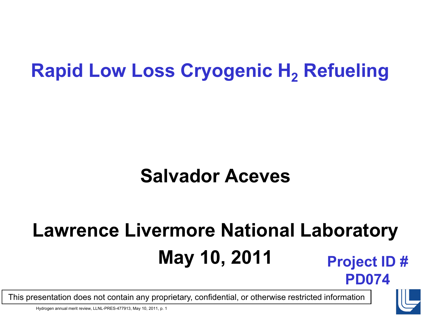### **Rapid Low Loss Cryogenic H<sub>2</sub> Refueling**

### **Salvador Aceves**

# **Lawrence Livermore National Laboratory May 10, 2011 Project ID #**



**PD074**

This presentation does not contain any proprietary, confidential, or otherwise restricted information

Hydrogen annual merit review, LLNL-PRES-477913, May 10, 2011, p. 1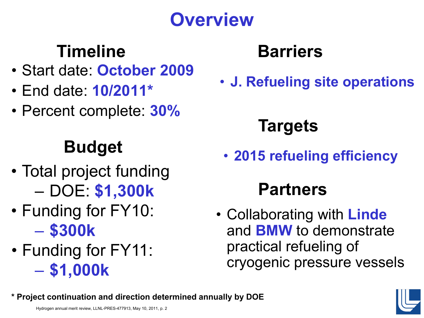# **Overview**

## **Timeline**

- Start date: **October 2009**
- End date: **10/2011\***
- Percent complete: **30%**

### **Budget**

- Total project funding – DOE: **\$1,300k**
- Funding for FY10: – **\$300k**
- Funding for FY11: – **\$1,000k**

### **Barriers**

• **J. Refueling site operations**

# **Targets**

• **2015 refueling efficiency** 

### **Partners**

• Collaborating with **Linde** and **BMW** to demonstrate practical refueling of cryogenic pressure vessels



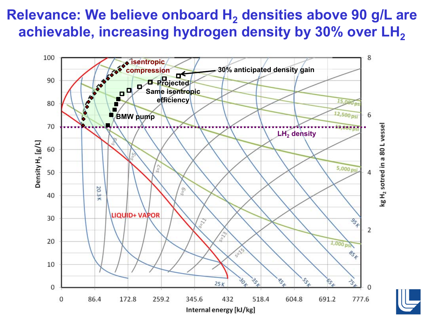### **Relevance: We believe onboard H<sub>2</sub> densities above 90 g/L are** achievable, increasing hydrogen density by 30% over LH<sub>2</sub>

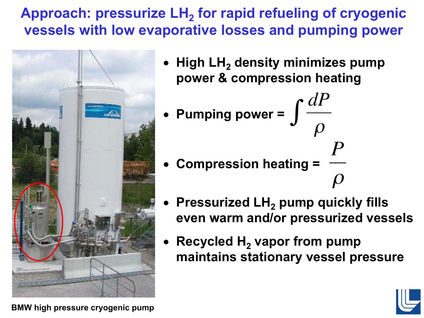Approach: pressurize LH<sub>2</sub> for rapid refueling of cryogenic **vessels with low evaporative losses and pumping power**



- **High LH2 density minimizes pump power & compression heating**
- Pumping power =  $\int \frac{dP}{\rho}$ • **Compression heating =**
- **Pressurized LH2 pump quickly fills even warm and/or pressurized vessels**
- **Recycled H<sub>2</sub> vapor from pump maintains stationary vessel pressure**



BMW high pressure cryogenic pump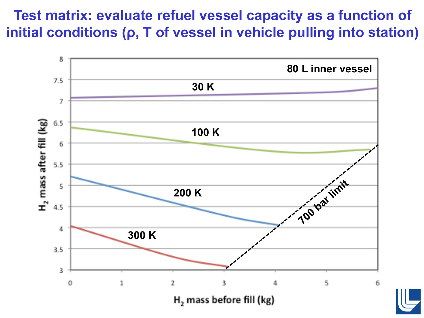#### **Test matrix: evaluate refuel vessel capacity as a function of initial conditions (ρ, T of vessel in vehicle pulling into station)**

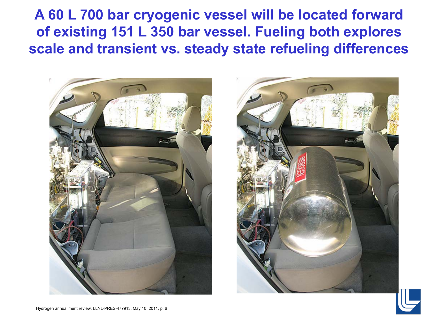#### **A 60 L 700 bar cryogenic vessel will be located forward of existing 151 L 350 bar vessel. Fueling both explores scale and transient vs. steady state refueling differences**





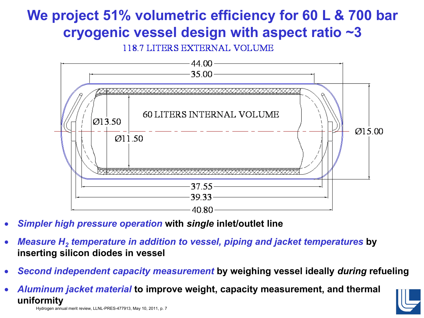### **We project 51% volumetric efficiency for 60 L & 700 bar cryogenic vessel design with aspect ratio ~3**

118.7 LITERS EXTERNAL VOLUME



- *Simpler high pressure operation* **with** *single* **inlet/outlet line**
- *Measure H2 temperature in addition to vessel, piping and jacket temperatures* **by inserting silicon diodes in vessel**
- *Second independent capacity measurement* **by weighing vessel ideally** *during* **refueling**
- *Aluminum jacket material* **to improve weight, capacity measurement, and thermal uniformity**



Hydrogen annual merit review, LLNL-PRES-477913, May 10, 2011, p. 7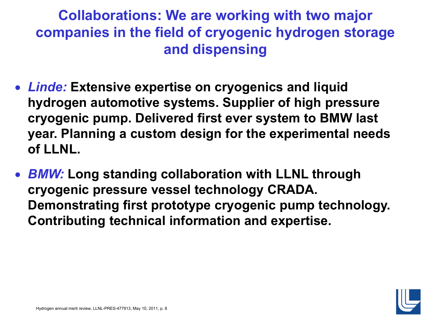**Collaborations: We are working with two major companies in the field of cryogenic hydrogen storage and dispensing**

- *Linde:* **Extensive expertise on cryogenics and liquid hydrogen automotive systems. Supplier of high pressure cryogenic pump. Delivered first ever system to BMW last year. Planning a custom design for the experimental needs of LLNL.**
- *BMW:* **Long standing collaboration with LLNL through cryogenic pressure vessel technology CRADA. Demonstrating first prototype cryogenic pump technology. Contributing technical information and expertise.**

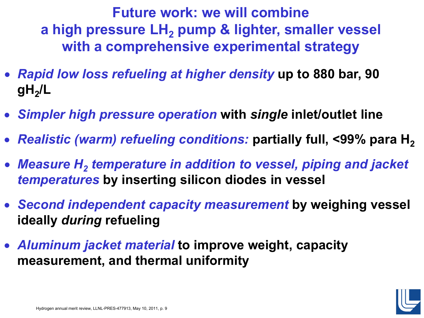**Future work: we will combine** a high pressure LH<sub>2</sub> pump & lighter, smaller vessel **with a comprehensive experimental strategy**

- *Rapid low loss refueling at higher density* **up to 880 bar, 90**   $gH<sub>2</sub>/L$
- *Simpler high pressure operation* **with** *single* **inlet/outlet line**
- *Realistic (warm) refueling conditions:* partially full, <99% para H<sub>2</sub>
- Measure H<sub>2</sub> temperature in addition to vessel, piping and jacket *temperatures* **by inserting silicon diodes in vessel**
- *Second independent capacity measurement* **by weighing vessel ideally** *during* **refueling**
- *Aluminum jacket material* **to improve weight, capacity measurement, and thermal uniformity**